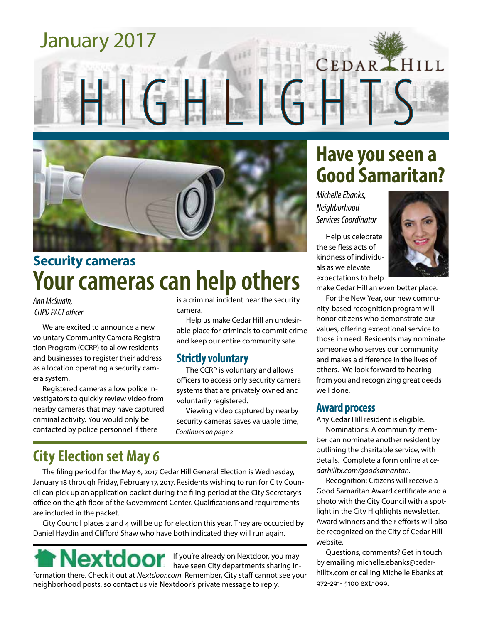# January 2017 CEDARLHILL  $GH$



### **Your cameras can help others Security cameras**

*Ann McSwain, CHPD PACT officer*

We are excited to announce a new voluntary Community Camera Registration Program (CCRP) to allow residents and businesses to register their address as a location operating a security camera system.

Registered cameras allow police investigators to quickly review video from nearby cameras that may have captured criminal activity. You would only be contacted by police personnel if there

is a criminal incident near the security camera.

Help us make Cedar Hill an undesirable place for criminals to commit crime and keep our entire community safe.

### **Strictly voluntary**

The CCRP is voluntary and allows officers to access only security camera systems that are privately owned and voluntarily registered.

Viewing video captured by nearby security cameras saves valuable time, *Continues on page 2*

### **City Election set May 6**

The filing period for the May 6, 2017 Cedar Hill General Election is Wednesday, January 18 through Friday, February 17, 2017. Residents wishing to run for City Council can pick up an application packet during the filing period at the City Secretary's office on the 4th floor of the Government Center. Qualifications and requirements are included in the packet.

City Council places 2 and 4 will be up for election this year. They are occupied by Daniel Haydin and Clifford Shaw who have both indicated they will run again.

extdoor If you're already on Nextdoor, you may have seen City departments sharing information there. Check it out at *Nextdoor.com.* Remember, City staff cannot see your neighborhood posts, so contact us via Nextdoor's private message to reply.

### **Have you seen a Good Samaritan?**

*Michelle Ebanks, Neighborhood Services Coordinator*

Help us celebrate the selfless acts of kindness of individuals as we elevate expectations to help



make Cedar Hill an even better place.

For the New Year, our new community-based recognition program will honor citizens who demonstrate our values, offering exceptional service to those in need. Residents may nominate someone who serves our community and makes a difference in the lives of others. We look forward to hearing from you and recognizing great deeds well done.

#### **Award process**

Any Cedar Hill resident is eligible.

Nominations: A community member can nominate another resident by outlining the charitable service, with details. Complete a form online at *cedarhilltx.com/goodsamaritan.*

Recognition: Citizens will receive a Good Samaritan Award certificate and a photo with the City Council with a spotlight in the City Highlights newsletter. Award winners and their efforts will also be recognized on the City of Cedar Hill website.

Questions, comments? Get in touch by emailing michelle.ebanks@cedarhilltx.com or calling Michelle Ebanks at 972-291- 5100 ext.1099.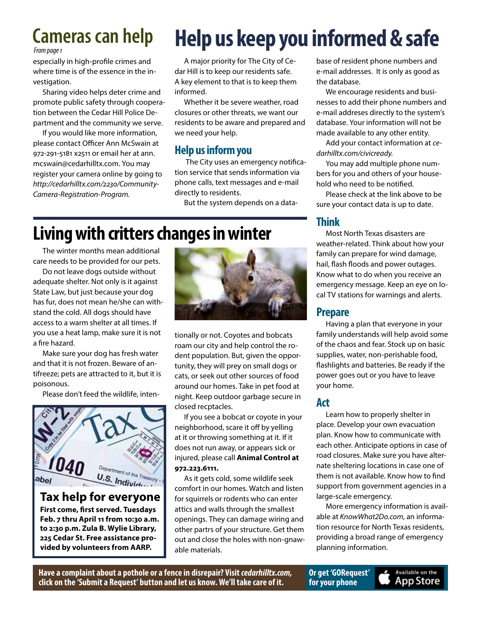*From page 1*

especially in high-profile crimes and where time is of the essence in the investigation.

Sharing video helps deter crime and promote public safety through cooperation between the Cedar Hill Police Department and the community we serve.

If you would like more information, please contact Officer Ann McSwain at 972-291-5181 x2511 or email her at ann. mcswain@cedarhilltx.com. You may register your camera online by going to *http://cedarhilltx.com/2230/Community-Camera-Registration-Program.*

## **Cameras can help Help us keep you informed & safe**

A major priority for The City of Cedar Hill is to keep our residents safe. A key element to that is to keep them informed.

Whether it be severe weather, road closures or other threats, we want our residents to be aware and prepared and we need your help.

### **Help us inform you**

 The City uses an emergency notification service that sends information via phone calls, text messages and e-mail directly to residents.

But the system depends on a data-

### **Living with critters changes in winter**

The winter months mean additional care needs to be provided for our pets.

Do not leave dogs outside without adequate shelter. Not only is it against State Law, but just because your dog has fur, does not mean he/she can withstand the cold. All dogs should have access to a warm shelter at all times. If you use a heat lamp, make sure it is not a fire hazard.

Make sure your dog has fresh water and that it is not frozen. Beware of antifreeze; pets are attracted to it, but it is poisonous.

Please don't feed the wildlife, inten-



**Tax help for everyone First come, first served. Tuesdays Feb. 7 thru April 11 from 10:30 a.m. to 2:30 p.m. Zula B. Wylie Library, 225 Cedar St. Free assistance provided by volunteers from AARP.**



tionally or not. Coyotes and bobcats roam our city and help control the rodent population. But, given the opportunity, they will prey on small dogs or cats, or seek out other sources of food around our homes. Take in pet food at night. Keep outdoor garbage secure in closed recptacles.

If you see a bobcat or coyote in your neighborhood, scare it off by yelling at it or throwing something at it. If it does not run away, or appears sick or injured, please call **Animal Control at 972.223.6111.**

As it gets cold, some wildlife seek comfort in our homes. Watch and listen for squirrels or rodents who can enter attics and walls through the smallest openings. They can damage wiring and other partrs of your structure. Get them out and close the holes with non-gnawable materials.

base of resident phone numbers and e-mail addresses. It is only as good as the database.

We encourage residents and businesses to add their phone numbers and e-mail addreses directly to the system's database. Your information will not be made available to any other entity.

Add your contact information at *cedarhilltx.com/civicready.*

You may add multiple phone numbers for you and others of your household who need to be notified.

Please check at the link above to be sure your contact data is up to date.

### **Think**

Most North Texas disasters are weather-related. Think about how your family can prepare for wind damage, hail, flash floods and power outages. Know what to do when you receive an emergency message. Keep an eye on local TV stations for warnings and alerts.

### **Prepare**

Having a plan that everyone in your family understands will help avoid some of the chaos and fear. Stock up on basic supplies, water, non-perishable food, flashlights and batteries. Be ready if the power goes out or you have to leave your home.

### **Act**

Learn how to properly shelter in place. Develop your own evacuation plan. Know how to communicate with each other. Anticipate options in case of road closures. Make sure you have alternate sheltering locations in case one of them is not available. Know how to find support from government agencies in a large-scale emergency.

More emergency information is available at *KnowWhat2Do.com*, an information resource for North Texas residents, providing a broad range of emergency planning information.

> Available on the **App Store**

**Have a complaint about a pothole or a fence in disrepair? Visit** *cedarhilltx.com,*  **click on the 'Submit a Request' button and let us know. We'll take care of it.**

**Or get 'GORequest' for your phone**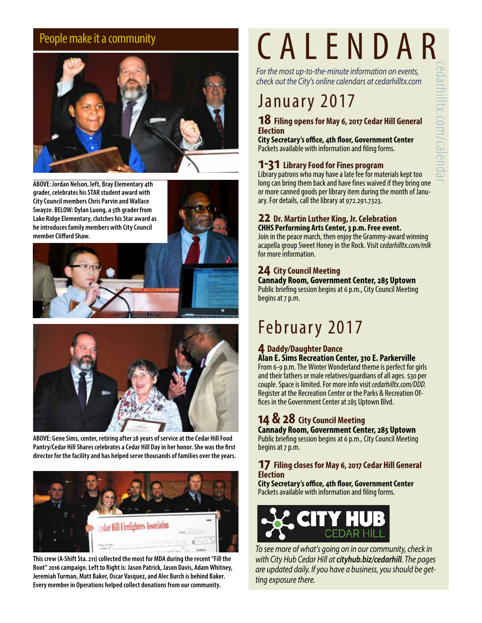

**ABOVE: Jordan Nelson, left, Bray Elementary 4th grader, celebrates his STAR student award with City Council members Chris Parvin and Wallace Swayze. BELOW: Dylan Luong, a 5th grader from Lake Ridge Elementary, clutches his Star award as he introduces family members with City Council member Clifford Shaw.**





**ABOVE: Gene Sims, center, retiring after 28 years of service at the Cedar Hill Food Pantry/Cedar Hill Shares celebrates a Cedar Hill Day in her honor. She was the first director for the facility and has helped serve thousands of families over the years.**



**This crew (A-Shift Sta. 211) collected the most for MDA during the recent "Fill the Boot" 2016 campaign. Left to Right is: Jason Patrick, Jason Davis, Adam Whitney, Jeremiah Turman, Matt Baker, Oscar Vasquez, and Alec Burch is behind Baker. Every member in Operations helped collect donations from our community.** 

# People make it a community **CALENDAR**

*For the most up-to-the-minute information on events, check out the City's online calendars at cedarhilltx.com*

### January 2017

#### **18 Filing opens for May 6, 2017 Cedar Hill General Election**

**City Secretary's office, 4th floor, Government Center** Packets available with information and filing forms.

#### **1-31 Library Food for Fines program**

Library patrons who may have a late fee for materials kept too long can bring them back and have fines waived if they bring one or more canned goods per library item during the month of Janu- ary. For details, call the library at 972.291.7323.

#### **22 Dr. Martin Luther King, Jr. Celebration CHHS Performing Arts Center, 3 p.m. Free event.**

Join in the peace march, then enjoy the Grammy-award winning acapella group Sweet Honey in the Rock. Visit c*edarhilltx.com/mlk* for more information.

#### **24 City Council Meeting**

**Cannady Room, Government Center, 285 Uptown** Public briefing session begins at 6 p.m., City Council Meeting begins at 7 p.m.

## February 2017

### **4 Daddy/Daughter Dance**

#### **Alan E. Sims Recreation Center, 310 E. Parkerville**

From 6-9 p.m. The Winter Wonderland theme is perfect for girls and their fathers or male relatives/guardians of all ages. \$30 per couple. Space is limited. For more info visit *cedarhilltx.com/DDD.* Register at the Recreation Center or the Parks & Recreation Of- fices in the Government Center at 285 Uptown Blvd.

### **14 & 28 City Council Meeting**

**Cannady Room, Government Center, 285 Uptown** Public briefing session begins at 6 p.m., City Council Meeting begins at 7 p.m.

#### **17 Filing closes for May 6, 2017 Cedar Hill General Election**

**City Secretary's office, 4th floor, Government Center** Packets available with information and filing forms.



*To see more of what's going on in our community, check in with City Hub Cedar Hill at cityhub.biz/cedarhill. The pages are updated daily. If you have a business, you should be getting exposure there.*